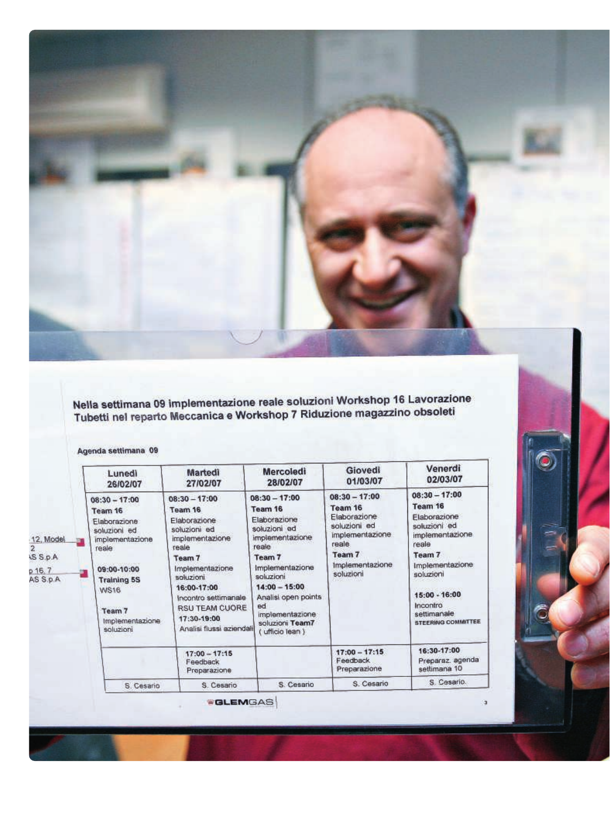

Nella settimana 09 implementazione reale soluzioni Workshop 16 Lavorazione<br>Tubetti nel reparto Meccanica e Workshop 7 Riduzione magazzino obsoleti

Agenda settimana 09

|                                                                       | Lunedi<br>26/02/07                                                                                                                                                                                              | Martedi<br>27/02/07                                                                                                                                                                                                                  | <b>Mercoledi</b><br>28/02/07                                                                                                                                                                                                             | Giovedì<br>01/03/07                                                                                                              | Venerdi<br>02/03/07                                                                                                                                                                                       |
|-----------------------------------------------------------------------|-----------------------------------------------------------------------------------------------------------------------------------------------------------------------------------------------------------------|--------------------------------------------------------------------------------------------------------------------------------------------------------------------------------------------------------------------------------------|------------------------------------------------------------------------------------------------------------------------------------------------------------------------------------------------------------------------------------------|----------------------------------------------------------------------------------------------------------------------------------|-----------------------------------------------------------------------------------------------------------------------------------------------------------------------------------------------------------|
| <b>CHARLES</b><br>12, Model<br>AS S.p.A.<br>$p$ 16.7<br>讍<br>AS S.p.A | $08:30 - 17:00$<br>Team 16<br>Elaborazione<br>soluzioni ed<br>implementazione<br>reale<br><b>SCORE AND A WERE</b><br>09:00-10:00<br><b>Training 5S</b><br><b>WS16</b><br>Team 7<br>Implementazione<br>soluzioni | $08:30 - 17:00$<br>Team 16<br>Elaborazione<br>soluzioni ed<br>implementazione<br>reale<br>Team 7<br>Implementazione<br>soluzioni<br>16:00-17:00<br>Incontro settimanale<br>RSU TEAM CUORE<br>17:30-19:00<br>Analisi flussi aziendali | $08:30 - 17:00$<br>Team 16<br>Elaborazione<br>soluzioni ed<br>implementazione<br>reale<br>Team 7<br>Implementazione<br>soluzioni<br>$14:00 - 15:00$<br>Analisi open points<br>ed<br>implementazione<br>soluzioni Team7<br>ufficio lean ) | $08:30 - 17:00$<br>Team 16<br>Elaborazione<br>soluzioni ed<br>implementazione<br>reale<br>Team 7<br>Implementazione<br>soluzioni | $08:30 - 17:00$<br>Team 16<br>Elaborazione<br>soluzioni ed<br>implementazione<br>reale<br>Team 7<br>Implementazione<br>soluzioni<br>15:00 - 16:00<br>Incontro<br>settimanale<br><b>STEERING COMMITTEE</b> |
|                                                                       |                                                                                                                                                                                                                 | $17:00 - 17:15$<br>Feedback<br>Preparazione                                                                                                                                                                                          |                                                                                                                                                                                                                                          | $17:00 - 17:15$<br>Feedback<br>Preparazione                                                                                      | 16:30-17:00<br>Preparaz, agenda<br>settimana 10                                                                                                                                                           |
|                                                                       | S. Cesario                                                                                                                                                                                                      | S. Cesario                                                                                                                                                                                                                           | S. Cesario                                                                                                                                                                                                                               | S. Cesario                                                                                                                       | S. Cesario.                                                                                                                                                                                               |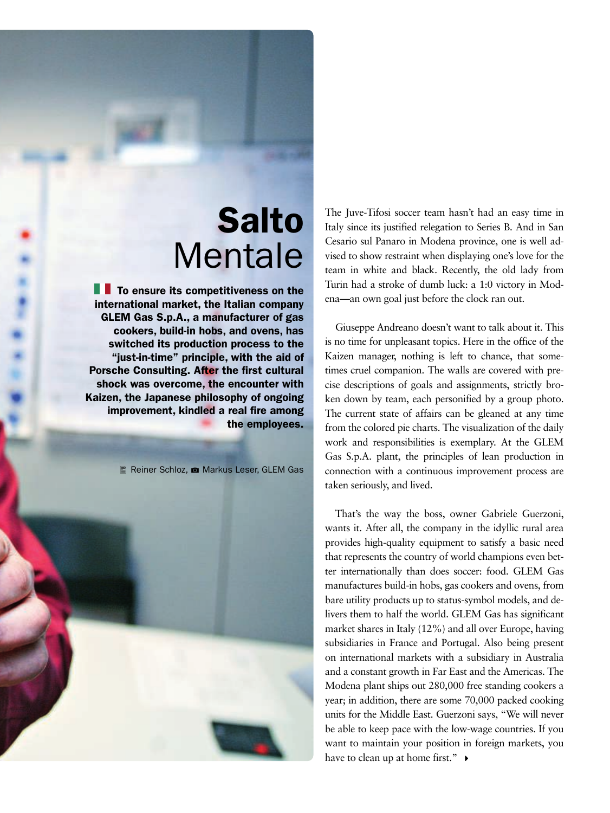## Salto Mentale

 $\blacksquare$  To ensure its competitiveness on the international market, the Italian company GLEM Gas S.p.A., a manufacturer of gas cookers, build-in hobs, and ovens, has switched its production process to the "just-in-time" principle, with the aid of Porsche Consulting. After the first cultural shock was overcome, the encounter with Kaizen, the Japanese philosophy of ongoing improvement, kindled a real fire among the employees.

**1** 

Reiner Schloz, **1** Markus Leser, GLEM Gas



The Juve-Tifosi soccer team hasn't had an easy time in Italy since its justified relegation to Series B. And in San Cesario sul Panaro in Modena province, one is well advised to show restraint when displaying one's love for the team in white and black. Recently, the old lady from Turin had a stroke of dumb luck: a 1:0 victory in Modena—an own goal just before the clock ran out.

Giuseppe Andreano doesn't want to talk about it. This is no time for unpleasant topics. Here in the office of the Kaizen manager, nothing is left to chance, that sometimes cruel companion. The walls are covered with precise descriptions of goals and assignments, strictly broken down by team, each personified by a group photo. The current state of affairs can be gleaned at any time from the colored pie charts. The visualization of the daily work and responsibilities is exemplary. At the GLEM Gas S.p.A. plant, the principles of lean production in connection with a continuous improvement process are taken seriously, and lived.

That's the way the boss, owner Gabriele Guerzoni, wants it. After all, the company in the idyllic rural area provides high-quality equipment to satisfy a basic need that represents the country of world champions even better internationally than does soccer: food. GLEM Gas manufactures build-in hobs, gas cookers and ovens, from bare utility products up to status-symbol models, and delivers them to half the world. GLEM Gas has significant market shares in Italy (12%) and all over Europe, having subsidiaries in France and Portugal. Also being present on international markets with a subsidiary in Australia and a constant growth in Far East and the Americas. The Modena plant ships out 280,000 free standing cookers a year; in addition, there are some 70,000 packed cooking units for the Middle East. Guerzoni says, "We will never be able to keep pace with the low-wage countries. If you want to maintain your position in foreign markets, you have to clean up at home first."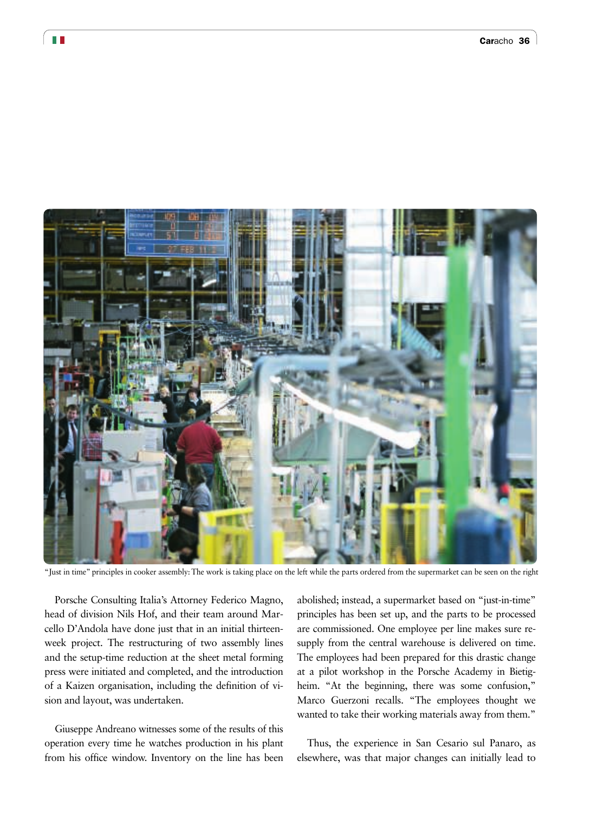

"Just in time" principles in cooker assembly: The work is taking place on the left while the parts ordered from the supermarket can be seen on the right

Porsche Consulting Italia's Attorney Federico Magno, head of division Nils Hof, and their team around Marcello D'Andola have done just that in an initial thirteenweek project. The restructuring of two assembly lines and the setup-time reduction at the sheet metal forming press were initiated and completed, and the introduction of a Kaizen organisation, including the definition of vision and layout, was undertaken.

Giuseppe Andreano witnesses some of the results of this operation every time he watches production in his plant from his office window. Inventory on the line has been

abolished; instead, a supermarket based on "just-in-time" principles has been set up, and the parts to be processed are commissioned. One employee per line makes sure resupply from the central warehouse is delivered on time. The employees had been prepared for this drastic change at a pilot workshop in the Porsche Academy in Bietigheim. "At the beginning, there was some confusion," Marco Guerzoni recalls. "The employees thought we wanted to take their working materials away from them."

Thus, the experience in San Cesario sul Panaro, as elsewhere, was that major changes can initially lead to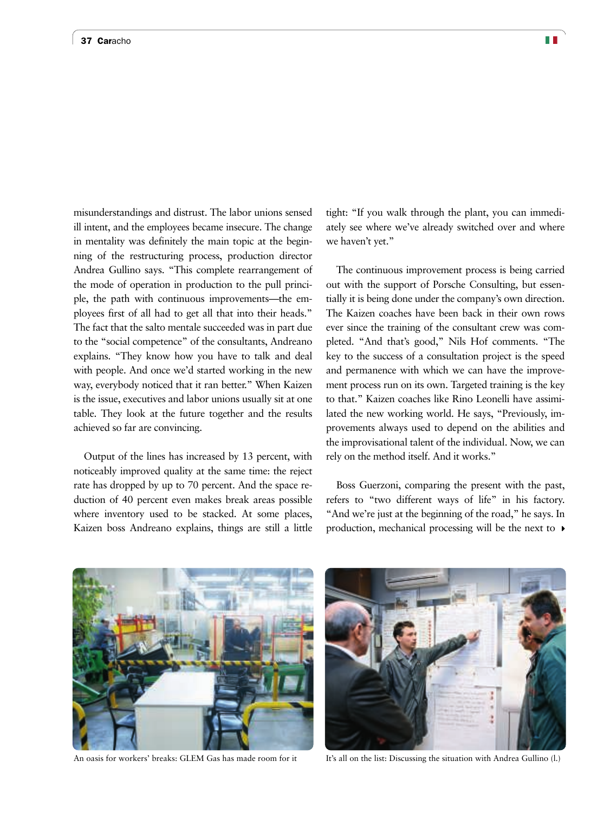misunderstandings and distrust. The labor unions sensed ill intent, and the employees became insecure. The change in mentality was definitely the main topic at the beginning of the restructuring process, production director Andrea Gullino says. "This complete rearrangement of the mode of operation in production to the pull principle, the path with continuous improvements—the employees first of all had to get all that into their heads." The fact that the salto mentale succeeded was in part due to the "social competence" of the consultants, Andreano explains. "They know how you have to talk and deal with people. And once we'd started working in the new way, everybody noticed that it ran better." When Kaizen is the issue, executives and labor unions usually sit at one table. They look at the future together and the results achieved so far are convincing.

Output of the lines has increased by 13 percent, with noticeably improved quality at the same time: the reject rate has dropped by up to 70 percent. And the space reduction of 40 percent even makes break areas possible where inventory used to be stacked. At some places, Kaizen boss Andreano explains, things are still a little tight: "If you walk through the plant, you can immediately see where we've already switched over and where we haven't yet."

The continuous improvement process is being carried out with the support of Porsche Consulting, but essentially it is being done under the company's own direction. The Kaizen coaches have been back in their own rows ever since the training of the consultant crew was completed. "And that's good," Nils Hof comments. "The key to the success of a consultation project is the speed and permanence with which we can have the improvement process run on its own. Targeted training is the key to that." Kaizen coaches like Rino Leonelli have assimilated the new working world. He says, "Previously, improvements always used to depend on the abilities and the improvisational talent of the individual. Now, we can rely on the method itself. And it works."

Boss Guerzoni, comparing the present with the past, refers to "two different ways of life" in his factory. "And we're just at the beginning of the road," he says. In production, mechanical processing will be the next to  $\rightarrow$ 



An oasis for workers' breaks: GLEM Gas has made room for it It's all on the list: Discussing the situation with Andrea Gullino (l.)

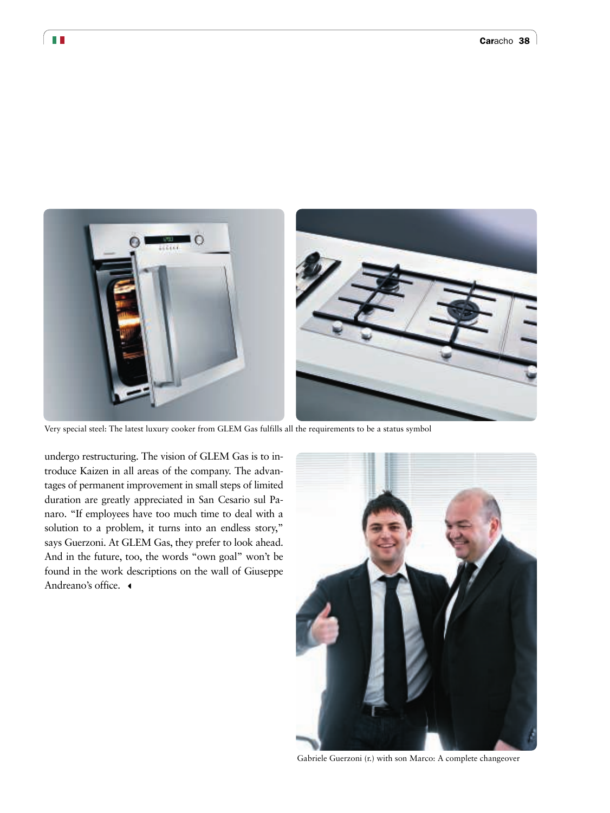

Very special steel: The latest luxury cooker from GLEM Gas fulfills all the requirements to be a status symbol

undergo restructuring. The vision of GLEM Gas is to introduce Kaizen in all areas of the company. The advantages of permanent improvement in small steps of limited duration are greatly appreciated in San Cesario sul Panaro. "If employees have too much time to deal with a solution to a problem, it turns into an endless story," says Guerzoni. At GLEM Gas, they prefer to look ahead. And in the future, too, the words "own goal" won't be found in the work descriptions on the wall of Giuseppe Andreano's office.  $\triangleleft$ 



Gabriele Guerzoni (r.) with son Marco: A complete changeover